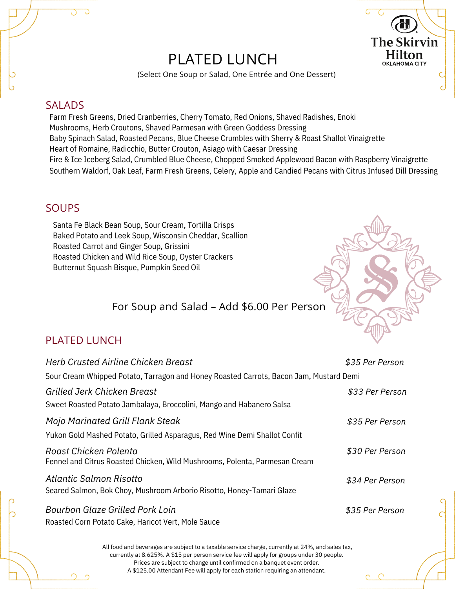# PLATED LUNCH



(Select One Soup or Salad, One Entrée and One Dessert)

#### SALADS

Farm Fresh Greens, Dried Cranberries, Cherry Tomato, Red Onions, Shaved Radishes, Enoki Mushrooms, Herb Croutons, Shaved Parmesan with Green Goddess Dressing Baby Spinach Salad, Roasted Pecans, Blue Cheese Crumbles with Sherry & Roast Shallot Vinaigrette Heart of Romaine, Radicchio, Butter Crouton, Asiago with Caesar Dressing Fire & Ice Iceberg Salad, Crumbled Blue Cheese, Chopped Smoked Applewood Bacon with Raspberry Vinaigrette Southern Waldorf, Oak Leaf, Farm Fresh Greens, Celery, Apple and Candied Pecans with Citrus Infused Dill Dressing

## SOUPS

Santa Fe Black Bean Soup, Sour Cream, Tortilla Crisps Baked Potato and Leek Soup, Wisconsin Cheddar, Scallion Roasted Carrot and Ginger Soup, Grissini Roasted Chicken and Wild Rice Soup, Oyster Crackers Butternut Squash Bisque, Pumpkin Seed Oil

# For Soup and Salad – Add \$6.00 Per Person

# PLATED LUNCH

| Herb Crusted Airline Chicken Breast                                                                                                                                                                                                                                     | \$35 Per Person |  |  |
|-------------------------------------------------------------------------------------------------------------------------------------------------------------------------------------------------------------------------------------------------------------------------|-----------------|--|--|
| Sour Cream Whipped Potato, Tarragon and Honey Roasted Carrots, Bacon Jam, Mustard Demi                                                                                                                                                                                  |                 |  |  |
| Grilled Jerk Chicken Breast                                                                                                                                                                                                                                             | \$33 Per Person |  |  |
| Sweet Roasted Potato Jambalaya, Broccolini, Mango and Habanero Salsa                                                                                                                                                                                                    |                 |  |  |
| Mojo Marinated Grill Flank Steak                                                                                                                                                                                                                                        | \$35 Per Person |  |  |
| Yukon Gold Mashed Potato, Grilled Asparagus, Red Wine Demi Shallot Confit                                                                                                                                                                                               |                 |  |  |
| Roast Chicken Polenta                                                                                                                                                                                                                                                   | \$30 Per Person |  |  |
| Fennel and Citrus Roasted Chicken, Wild Mushrooms, Polenta, Parmesan Cream                                                                                                                                                                                              |                 |  |  |
| Atlantic Salmon Risotto                                                                                                                                                                                                                                                 | \$34 Per Person |  |  |
| Seared Salmon, Bok Choy, Mushroom Arborio Risotto, Honey-Tamari Glaze                                                                                                                                                                                                   |                 |  |  |
| Bourbon Glaze Grilled Pork Loin                                                                                                                                                                                                                                         | \$35 Per Person |  |  |
| Roasted Corn Potato Cake, Haricot Vert, Mole Sauce                                                                                                                                                                                                                      |                 |  |  |
| All food and beverages are subject to a taxable service charge, currently at 24%, and sales tax,<br>currently at 8.625%. A \$15 per person service fee will apply for groups under 30 people.<br>Prices are subject to change until confirmed on a banquet event order. |                 |  |  |

A \$125.00 Attendant Fee will apply for each station requiring an attendant.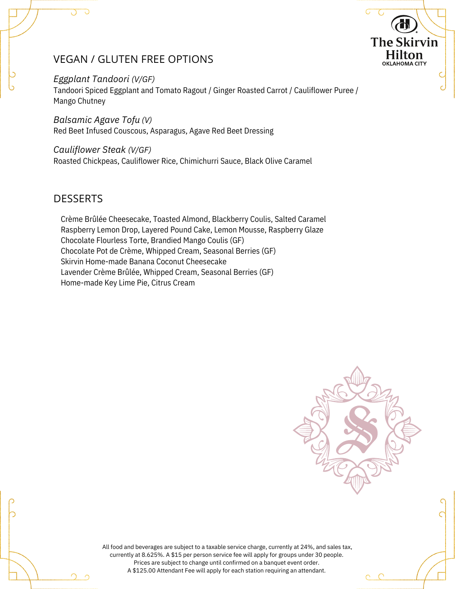# VEGAN / GLUTEN FREE OPTIONS

#### *Eggplant Tandoori (V/GF)*

Tandoori Spiced Eggplant and Tomato Ragout / Ginger Roasted Carrot / Cauliflower Puree / Mango Chutney

*Balsamic Agave Tofu (V)*

Red Beet Infused Couscous, Asparagus, Agave Red Beet Dressing

#### *Cauliflower Steak (V/GF)*

Roasted Chickpeas, Cauliflower Rice, Chimichurri Sauce, Black Olive Caramel

## **DESSERTS**

Crème Brûlée Cheesecake, Toasted Almond, Blackberry Coulis, Salted Caramel Raspberry Lemon Drop, Layered Pound Cake, Lemon Mousse, Raspberry Glaze Chocolate Flourless Torte, Brandied Mango Coulis (GF) Chocolate Pot de Crème, Whipped Cream, Seasonal Berries (GF) Skirvin Home-made Banana Coconut Cheesecake Lavender Crème Brûlée, Whipped Cream, Seasonal Berries (GF) Home-made Key Lime Pie, Citrus Cream



**The Skirvin Hilton OKLAHOMA CITY** 

All food and beverages are subject to a taxable service charge, currently at 24%, and sales tax, currently at 8.625%. A \$15 per person service fee will apply for groups under 30 people. Prices are subject to change until confirmed on a banquet event order. A \$125.00 Attendant Fee will apply for each station requiring an attendant.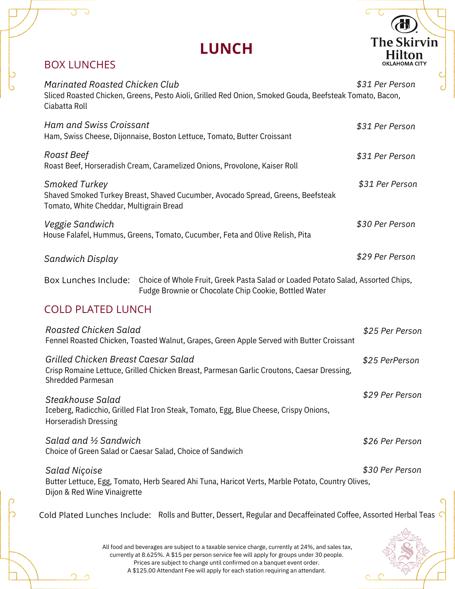|                                                          | <b>LUNCH</b>                                                                                                                                                   | <b>The Skirvin</b><br><b>Hilton</b> |
|----------------------------------------------------------|----------------------------------------------------------------------------------------------------------------------------------------------------------------|-------------------------------------|
| <b>BOX LUNCHES</b>                                       |                                                                                                                                                                | OKLAHOMA CITY                       |
| <b>Marinated Roasted Chicken Club</b><br>Ciabatta Roll   | Sliced Roasted Chicken, Greens, Pesto Aioli, Grilled Red Onion, Smoked Gouda, Beefsteak Tomato, Bacon,                                                         | \$31 Per Person                     |
| <b>Ham and Swiss Croissant</b>                           | Ham, Swiss Cheese, Dijonnaise, Boston Lettuce, Tomato, Butter Croissant                                                                                        | \$31 Per Person                     |
| Roast Beef                                               | Roast Beef, Horseradish Cream, Caramelized Onions, Provolone, Kaiser Roll                                                                                      | \$31 Per Person                     |
| Smoked Turkey<br>Tomato, White Cheddar, Multigrain Bread | Shaved Smoked Turkey Breast, Shaved Cucumber, Avocado Spread, Greens, Beefsteak                                                                                | \$31 Per Person                     |
| Veggie Sandwich                                          | House Falafel, Hummus, Greens, Tomato, Cucumber, Feta and Olive Relish, Pita                                                                                   | \$30 Per Person                     |
| Sandwich Display                                         |                                                                                                                                                                | \$29 Per Person                     |
|                                                          | Box Lunches Include: Choice of Whole Fruit, Greek Pasta Salad or Loaded Potato Salad, Assorted Chips,<br>Fudge Brownie or Chocolate Chip Cookie, Bottled Water |                                     |
| <b>COLD PLATED LUNCH</b>                                 |                                                                                                                                                                |                                     |
| Roasted Chicken Salad                                    | Fennel Roasted Chicken, Toasted Walnut, Grapes, Green Apple Served with Butter Croissant                                                                       | \$25 Per Person                     |
| Grilled Chicken Breast Caesar Salad<br>Shredded Parmesan | Crisp Romaine Lettuce, Grilled Chicken Breast, Parmesan Garlic Croutons, Caesar Dressing,                                                                      | \$25 PerPerson                      |

Iceberg, Radicchio, Grilled Flat Iron Steak, Tomato, Egg, Blue Cheese, Crispy Onions, Horseradish Dressing *Steakhouse Salad*

Choice of Green Salad or Caesar Salad, Choice of Sandwich *Salad and ½ Sandwich*

Butter Lettuce, Egg, Tomato, Herb Seared Ahi Tuna, Haricot Verts, Marble Potato, Country Olives, Dijon & Red Wine Vinaigrette *\$30 Per Person Salad Niçoise*

Cold Plated Lunches Include: Rolls and Butter, Dessert, Regular and Decaffeinated Coffee, Assorted Herbal Teas

*\$26 Per Person*

*\$29 Per Person*

Ŧ

All food and beverages are subject to a taxable service charge, currently at 24%, and sales tax, currently at 8.625%. A \$15 per person service fee will apply for groups under 30 people. Prices are subject to change until confirmed on a banquet event order. A \$125.00 Attendant Fee will apply for each station requiring an attendant.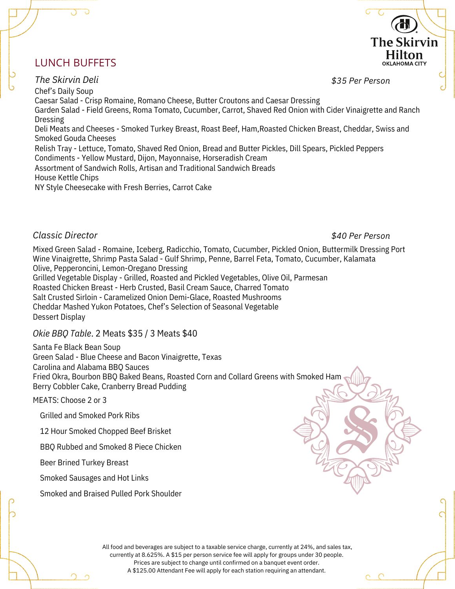# LUNCH BUFFETS

Chef's Daily Soup Caesar Salad - Crisp Romaine, Romano Cheese, Butter Croutons and Caesar Dressing Garden Salad - Field Greens, Roma Tomato, Cucumber, Carrot, Shaved Red Onion with Cider Vinaigrette and Ranch Dressing Deli Meats and Cheeses - Smoked Turkey Breast, Roast Beef, Ham,Roasted Chicken Breast, Cheddar, Swiss and Smoked Gouda Cheeses Relish Tray - Lettuce, Tomato, Shaved Red Onion, Bread and Butter Pickles, Dill Spears, Pickled Peppers Condiments - Yellow Mustard, Dijon, Mayonnaise, Horseradish Cream Assortment of Sandwich Rolls, Artisan and Traditional Sandwich Breads House Kettle Chips NY Style Cheesecake with Fresh Berries, Carrot Cake *\$35 Per Person The Skirvin Deli*

#### *Classic Director*

# *\$40 Per Person*

**The Skirvin** Hilton OKLAHOMA CITY

Mixed Green Salad - Romaine, Iceberg, Radicchio, Tomato, Cucumber, Pickled Onion, Buttermilk Dressing Port Wine Vinaigrette, Shrimp Pasta Salad - Gulf Shrimp, Penne, Barrel Feta, Tomato, Cucumber, Kalamata Olive, Pepperoncini, Lemon-Oregano Dressing

Grilled Vegetable Display - Grilled, Roasted and Pickled Vegetables, Olive Oil, Parmesan Roasted Chicken Breast - Herb Crusted, Basil Cream Sauce, Charred Tomato Salt Crusted Sirloin - Caramelized Onion Demi-Glace, Roasted Mushrooms Cheddar Mashed Yukon Potatoes, Chef's Selection of Seasonal Vegetable Dessert Display

#### *Okie BBQ Table*. 2 Meats \$35 / 3 Meats \$40

Santa Fe Black Bean Soup Green Salad - Blue Cheese and Bacon Vinaigrette, Texas Carolina and Alabama BBQ Sauces Fried Okra, Bourbon BBQ Baked Beans, Roasted Corn and Collard Greens with Smoked Ham Berry Cobbler Cake, Cranberry Bread Pudding

MEATS: Choose 2 or 3

Grilled and Smoked Pork Ribs

12 Hour Smoked Chopped Beef Brisket

BBQ Rubbed and Smoked 8 Piece Chicken

Beer Brined Turkey Breast

Smoked Sausages and Hot Links

Smoked and Braised Pulled Pork Shoulder

All food and beverages are subject to a taxable service charge, currently at 24%, and sales tax, currently at 8.625%. A \$15 per person service fee will apply for groups under 30 people. Prices are subject to change until confirmed on a banquet event order. A \$125.00 Attendant Fee will apply for each station requiring an attendant.